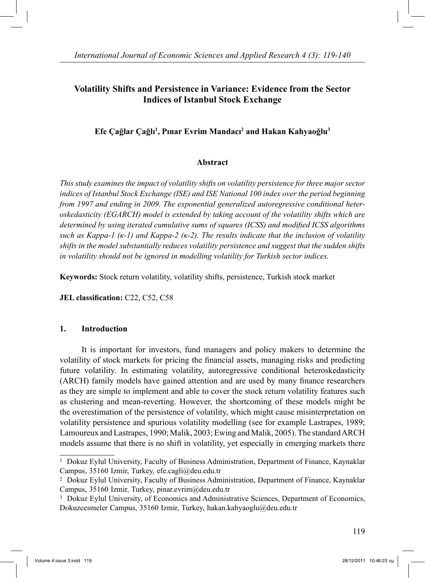# **Volatility Shifts and Persistence in Variance: Evidence from the Sector Indices of Istanbul Stock Exchange**

# **E fe Çağlar Çağlı 1 , Pınar Evrim Mandacı 2 and Hakan Kahyaoğlu3**

# **Abstract**

*This study examines the impact of volatility shifts on volatility persistence for three major sector indices of Istanbul Stock Exchange (ISE) and ISE National 100 index over the period beginning from 1997 and ending in 2009. The exponential generalized autoregressive conditional heteroskedasticity (EGARCH) model is extended by taking account of the volatility shifts which are determined by using iterated cumulative sums of squares (ICSS) and modified ICSS algorithms such as Kappa-1 (κ-1) and Kappa-2 (κ-2). The results indicate that the inclusion of volatility shifts in the model substantially reduces volatility persistence and suggest that the sudden shifts in volatility should not be ignored in modelling volatility for Turkish sector indices.*

**Keywords:** Stock return volatility, volatility shifts, persistence, Turkish stock market

**JEL classification:** C22, C52, C58

# **1. Introduction**

 It is important for investors, fund managers and policy makers to determine the volatility of stock markets for pricing the financial assets, managing risks and predicting future volatility. In estimating volatility, autoregressive conditional heteroskedasticity (ARCH) family models have gained attention and are used by many finance researchers as they are simple to implement and able to cover the stock return volatility features such as clustering and mean-reverting. However, the shortcoming of these models might be the overestimation of the persistence of volatility, which might cause misinterpretation on volatility persistence and spurious volatility modelling (see for example Lastrapes, 1989; Lamoureux and Lastrapes, 1990; Malik, 2003; Ewing and Malik, 2005). The standard ARCH models assume that there is no shift in volatility, yet especially in emerging markets there

<sup>1</sup> Dokuz Eylul University, Faculty of Business Administration, Department of Finance, Kaynaklar Campus, 35160 Izmir, Turkey, efe.cagli@deu.edu.tr

<sup>2</sup> Dokuz Eylul University, Faculty of Business Administration, Department of Finance, Kaynaklar Campus, 35160 Izmir, Turkey, pinar.evrim@deu.edu.tr

<sup>&</sup>lt;sup>3</sup> Dokuz Eylul University, of Economics and Administrative Sciences, Department of Economics, Dokuzcesmeler Campus, 35160 Izmir, Turkey, hakan.kahyaoglu@deu.edu.tr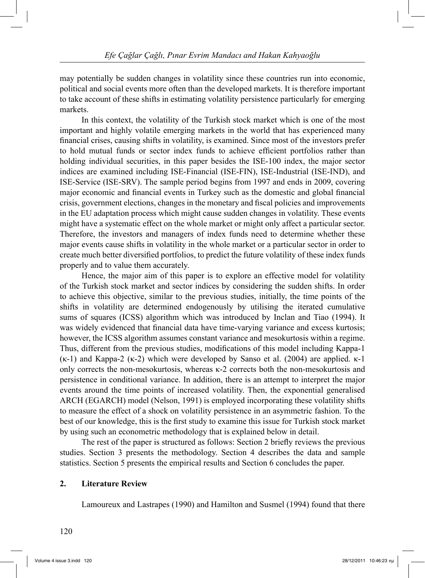may potentially be sudden changes in volatility since these countries run into economic, political and social events more often than the developed markets. It is therefore important to take account of these shifts in estimating volatility persistence particularly for emerging markets.

 In this context, the volatility of the Turkish stock market which is one of the most important and highly volatile emerging markets in the world that has experienced many financial crises, causing shifts in volatility, is examined. Since most of the investors prefer to hold mutual funds or sector index funds to achieve efficient portfolios rather than holding individual securities, in this paper besides the ISE-100 index, the major sector indices are examined including ISE-Financial (ISE-FIN), ISE-Industrial (ISE-IND), and ISE-Service (ISE-SRV). The sample period begins from 1997 and ends in 2009, covering major economic and financial events in Turkey such as the domestic and global financial crisis, government elections, changes in the monetary and fiscal policies and improvements in the EU adaptation process which might cause sudden changes in volatility. These events might have a systematic effect on the whole market or might only affect a particular sector. Therefore, the investors and managers of index funds need to determine whether these major events cause shifts in volatility in the whole market or a particular sector in order to create much better diversified portfolios, to predict the future volatility of these index funds properly and to value them accurately.

 Hence, the major aim of this paper is to explore an effective model for volatility of the Turkish stock market and sector indices by considering the sudden shifts. In order to achieve this objective, similar to the previous studies, initially, the time points of the shifts in volatility are determined endogenously by utilising the iterated cumulative sums of squares (ICSS) algorithm which was introduced by Inclan and Tiao (1994). It was widely evidenced that financial data have time-varying variance and excess kurtosis; however, the ICSS algorithm assumes constant variance and mesokurtosis within a regime. Thus, different from the previous studies, modifications of this model including Kappa-1 (κ-1) and Kappa-2 (κ-2) which were developed by Sanso et al. (2004) are applied. κ-1 only corrects the non-mesokurtosis, whereas κ-2 corrects both the non-mesokurtosis and persistence in conditional variance. In addition, there is an attempt to interpret the major events around the time points of increased volatility. Then, the exponential generalised ARCH (EGARCH) model (Nelson, 1991) is employed incorporating these volatility shifts to measure the effect of a shock on volatility persistence in an asymmetric fashion. To the best of our knowledge, this is the first study to examine this issue for Turkish stock market by using such an econometric methodology that is explained below in detail.

 The rest of the paper is structured as follows: Section 2 briefly reviews the previous studies. Section 3 presents the methodology. Section 4 describes the data and sample statistics. Section 5 presents the empirical results and Section 6 concludes the paper.

### **2. Literature Review**

Lamoureux and Lastrapes (1990) and Hamilton and Susmel (1994) found that there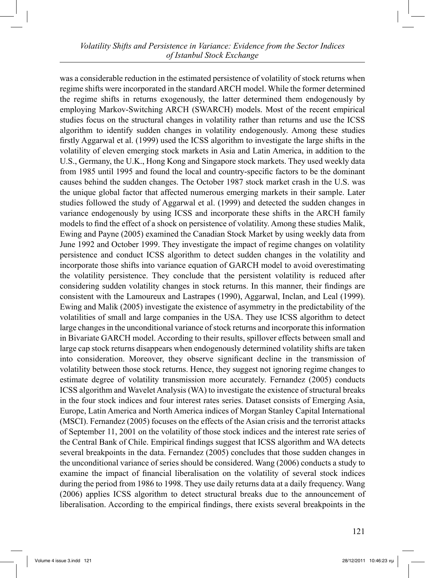was a considerable reduction in the estimated persistence of volatility of stock returns when regime shifts were incorporated in the standard ARCH model. While the former determined the regime shifts in returns exogenously, the latter determined them endogenously by employing Markov-Switching ARCH (SWARCH) models. Most of the recent empirical studies focus on the structural changes in volatility rather than returns and use the ICSS algorithm to identify sudden changes in volatility endogenously. Among these studies firstly Aggarwal et al. (1999) used the ICSS algorithm to investigate the large shifts in the volatility of eleven emerging stock markets in Asia and Latin America, in addition to the U.S., Germany, the U.K., Hong Kong and Singapore stock markets. They used weekly data from 1985 until 1995 and found the local and country-specific factors to be the dominant causes behind the sudden changes. The October 1987 stock market crash in the U.S. was the unique global factor that affected numerous emerging markets in their sample. Later studies followed the study of Aggarwal et al. (1999) and detected the sudden changes in variance endogenously by using ICSS and incorporate these shifts in the ARCH family models to find the effect of a shock on persistence of volatility. Among these studies Malik, Ewing and Payne (2005) examined the Canadian Stock Market by using weekly data from June 1992 and October 1999. They investigate the impact of regime changes on volatility persistence and conduct ICSS algorithm to detect sudden changes in the volatility and incorporate those shifts into variance equation of GARCH model to avoid overestimating the volatility persistence. They conclude that the persistent volatility is reduced after considering sudden volatility changes in stock returns. In this manner, their findings are consistent with the Lamoureux and Lastrapes (1990), Aggarwal, Inclan, and Leal (1999). Ewing and Malik (2005) investigate the existence of asymmetry in the predictability of the volatilities of small and large companies in the USA. They use ICSS algorithm to detect large changes in the unconditional variance of stock returns and incorporate this information in Bivariate GARCH model. According to their results, spillover effects between small and large cap stock returns disappears when endogenously determined volatility shifts are taken into consideration. Moreover, they observe significant decline in the transmission of volatility between those stock returns. Hence, they suggest not ignoring regime changes to estimate degree of volatility transmission more accurately. Fernandez (2005) conducts ICSS algorithm and Wavelet Analysis (WA) to investigate the existence of structural breaks in the four stock indices and four interest rates series. Dataset consists of Emerging Asia, Europe, Latin America and North America indices of Morgan Stanley Capital International (MSCI). Fernandez (2005) focuses on the effects of the Asian crisis and the terrorist attacks of September 11, 2001 on the volatility of those stock indices and the interest rate series of the Central Bank of Chile. Empirical findings suggest that ICSS algorithm and WA detects several breakpoints in the data. Fernandez (2005) concludes that those sudden changes in the unconditional variance of series should be considered. Wang (2006) conducts a study to examine the impact of financial liberalisation on the volatility of several stock indices during the period from 1986 to 1998. They use daily returns data at a daily frequency. Wang (2006) applies ICSS algorithm to detect structural breaks due to the announcement of liberalisation. According to the empirical findings, there exists several breakpoints in the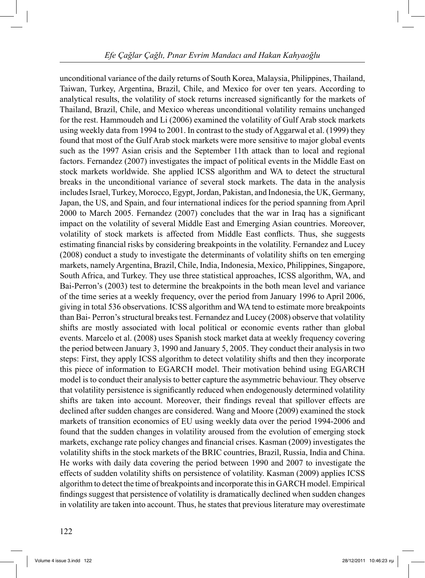unconditional variance of the daily returns of South Korea, Malaysia, Philippines, Thailand, Taiwan, Turkey, Argentina, Brazil, Chile, and Mexico for over ten years. According to analytical results, the volatility of stock returns increased significantly for the markets of Thailand, Brazil, Chile, and Mexico whereas unconditional volatility remains unchanged for the rest. Hammoudeh and Li (2006) examined the volatility of Gulf Arab stock markets using weekly data from 1994 to 2001. In contrast to the study of Aggarwal et al. (1999) they found that most of the Gulf Arab stock markets were more sensitive to major global events such as the 1997 Asian crisis and the September 11th attack than to local and regional factors. Fernandez (2007) investigates the impact of political events in the Middle East on stock markets worldwide. She applied ICSS algorithm and WA to detect the structural breaks in the unconditional variance of several stock markets. The data in the analysis includes Israel, Turkey, Morocco, Egypt, Jordan, Pakistan, and Indonesia, the UK, Germany, Japan, the US, and Spain, and four international indices for the period spanning from April 2000 to March 2005. Fernandez (2007) concludes that the war in Iraq has a significant impact on the volatility of several Middle East and Emerging Asian countries. Moreover, volatility of stock markets is affected from Middle East conflicts. Thus, she suggests estimating financial risks by considering breakpoints in the volatility. Fernandez and Lucey (2008) conduct a study to investigate the determinants of volatility shifts on ten emerging markets, namely Argentina, Brazil, Chile, India, Indonesia, Mexico, Philippines, Singapore, South Africa, and Turkey. They use three statistical approaches, ICSS algorithm, WA, and Bai-Perron's (2003) test to determine the breakpoints in the both mean level and variance of the time series at a weekly frequency, over the period from January 1996 to April 2006, giving in total 536 observations. ICSS algorithm and WA tend to estimate more breakpoints than Bai- Perron's structural breaks test. Fernandez and Lucey (2008) observe that volatility shifts are mostly associated with local political or economic events rather than global events. Marcelo et al. (2008) uses Spanish stock market data at weekly frequency covering the period between January 3, 1990 and January 5, 2005. They conduct their analysis in two steps: First, they apply ICSS algorithm to detect volatility shifts and then they incorporate this piece of information to EGARCH model. Their motivation behind using EGARCH model is to conduct their analysis to better capture the asymmetric behaviour. They observe that volatility persistence is significantly reduced when endogenously determined volatility shifts are taken into account. Moreover, their findings reveal that spillover effects are declined after sudden changes are considered. Wang and Moore (2009) examined the stock markets of transition economics of EU using weekly data over the period 1994-2006 and found that the sudden changes in volatility aroused from the evolution of emerging stock markets, exchange rate policy changes and financial crises. Kasman (2009) investigates the volatility shifts in the stock markets of the BRIC countries, Brazil, Russia, India and China. He works with daily data covering the period between 1990 and 2007 to investigate the effects of sudden volatility shifts on persistence of volatility. Kasman (2009) applies ICSS algorithm to detect the time of breakpoints and incorporate this in GARCH model. Empirical findings suggest that persistence of volatility is dramatically declined when sudden changes in volatility are taken into account. Thus, he states that previous literature may overestimate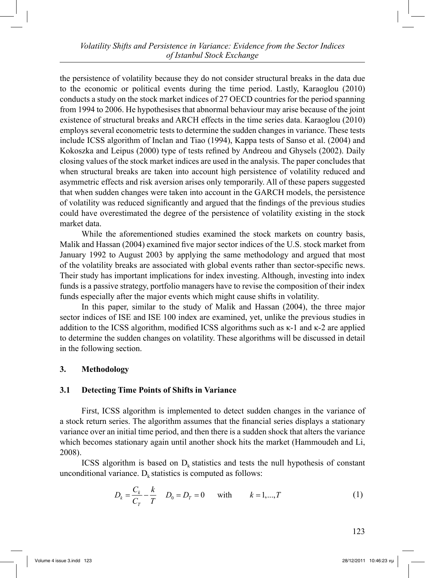the persistence of volatility because they do not consider structural breaks in the data due to the economic or political events during the time period. Lastly, Karaoglou (2010) conducts a study on the stock market indices of 27 OECD countries for the period spanning from 1994 to 2006. He hypothesises that abnormal behaviour may arise because of the joint existence of structural breaks and ARCH effects in the time series data. Karaoglou (2010) employs several econometric tests to determine the sudden changes in variance. These tests include ICSS algorithm of Inclan and Tiao (1994), Kappa tests of Sanso et al. (2004) and Kokoszka and Leipus (2000) type of tests refined by Andreou and Ghysels (2002). Daily closing values of the stock market indices are used in the analysis. The paper concludes that when structural breaks are taken into account high persistence of volatility reduced and asymmetric effects and risk aversion arises only temporarily. All of these papers suggested that when sudden changes were taken into account in the GARCH models, the persistence of volatility was reduced significantly and argued that the findings of the previous studies could have overestimated the degree of the persistence of volatility existing in the stock market data.

 While the aforementioned studies examined the stock markets on country basis, Malik and Hassan (2004) examined five major sector indices of the U.S. stock market from January 1992 to August 2003 by applying the same methodology and argued that most of the volatility breaks are associated with global events rather than sector-specific news. Their study has important implications for index investing. Although, investing into index funds is a passive strategy, portfolio managers have to revise the composition of their index funds especially after the major events which might cause shifts in volatility.

 In this paper, similar to the study of Malik and Hassan (2004), the three major sector indices of ISE and ISE 100 index are examined, yet, unlike the previous studies in addition to the ICSS algorithm, modified ICSS algorithms such as κ-1 and κ-2 are applied to determine the sudden changes on volatility. These algorithms will be discussed in detail in the following section.

# **3. Methodology**

# **3.1 Detecting Time Points of Shifts in Variance**

 First, ICSS algorithm is implemented to detect sudden changes in the variance of a stock return series. The algorithm assumes that the financial series displays a stationary variance over an initial time period, and then there is a sudden shock that alters the variance which becomes stationary again until another shock hits the market (Hammoudeh and Li, 2008).

ICSS algorithm is based on  $D_k$  statistics and tests the null hypothesis of constant unconditional variance.  $D_k$  statistics is computed as follows:

$$
D_k = \frac{C_k}{C_T} - \frac{k}{T} \quad D_0 = D_T = 0 \quad \text{with} \quad k = 1, ..., T \tag{1}
$$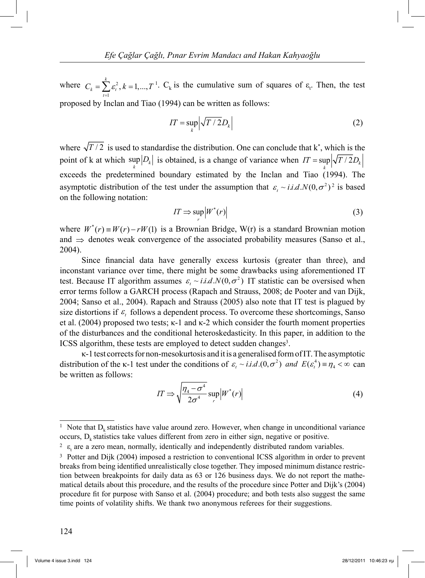where  $C_{\iota} = \sum \varepsilon^2$ 1  $\sum_{i=1}^{k} \varepsilon_i^2, k = 1, \dots,$  $\sum_{t=1}^k c_t$  $C_k = \sum_{i} \varepsilon_i^2, k = 1, ..., T$  $=\sum_{t=1} \varepsilon_t^2$ ,  $k = 1, ..., T^1$ .  $C_k$  is the cumulative sum of squares of  $\varepsilon_t$ . Then, the test proposed by Inclan and Tiao (1994) can be written as follows:

$$
IT = \sup_{k} \left| \sqrt{T / 2} D_{k} \right| \tag{2}
$$

where  $\sqrt{T/2}$  is used to standardise the distribution. One can conclude that  $k^*$ , which is the point of k at which  $\sup_k |D_k|$  is obtained, is a change of variance when  $IT = \sup_k |\sqrt{T/2D_k}|$ exceeds the predetermined boundary estimated by the Inclan and Tiao (1994). The asymptotic distribution of the test under the assumption that  $\varepsilon_t \sim i.i.d.N(0,\sigma^2)^2$  is based on the following notation:

$$
IT \Rightarrow \sup_{r} \left| W^*(r) \right| \tag{3}
$$

where  $W^*(r) = W(r) - rW(1)$  is a Brownian Bridge, W(r) is a standard Brownian motion and  $\Rightarrow$  denotes weak convergence of the associated probability measures (Sanso et al., 2004).

 Since financial data have generally excess kurtosis (greater than three), and inconstant variance over time, there might be some drawbacks using aforementioned IT test. Because IT algorithm assumes  $\varepsilon$ ,  $\sim$  *i.i.d.N*(0, $\sigma$ <sup>2</sup>) IT statistic can be oversised when error terms follow a GARCH process (Rapach and Strauss, 2008; de Pooter and van Dijk, 2004; Sanso et al., 2004). Rapach and Strauss (2005) also note that IT test is plagued by size distortions if  $\varepsilon_t$  follows a dependent process. To overcome these shortcomings, Sanso et al. (2004) proposed two tests; κ-1 and κ-2 which consider the fourth moment properties of the disturbances and the conditional heteroskedasticity. In this paper, in addition to the ICSS algorithm, these tests are employed to detect sudden changes<sup>3</sup>.

κ-1 test corrects for non-mesokurtosis and it is a generalised form of IT. The asymptotic distribution of the  $\kappa$ -1 test under the conditions of  $\varepsilon_t \sim i.i.d. (0, \sigma^2)$  and  $E(\varepsilon_t^4) = \eta_4 < \infty$  can be written as follows:

$$
IT \Rightarrow \sqrt{\frac{\eta_4 - \sigma^4}{2\sigma^4}} \sup_r |W^*(r)| \tag{4}
$$

<sup>&</sup>lt;sup>1</sup> Note that  $D_k$  statistics have value around zero. However, when change in unconditional variance occurs,  $D_k$  statistics take values different from zero in either sign, negative or positive.

 $2 \epsilon$ <sub>t</sub> are a zero mean, normally, identically and independently distributed random variables.

<sup>&</sup>lt;sup>3</sup> Potter and Dijk (2004) imposed a restriction to conventional ICSS algorithm in order to prevent breaks from being identified unrealistically close together. They imposed minimum distance restriction between breakpoints for daily data as 63 or 126 business days. We do not report the mathematical details about this procedure, and the results of the procedure since Potter and Dijk's (2004) procedure fit for purpose with Sanso et al. (2004) procedure; and both tests also suggest the same time points of volatility shifts. We thank two anonymous referees for their suggestions.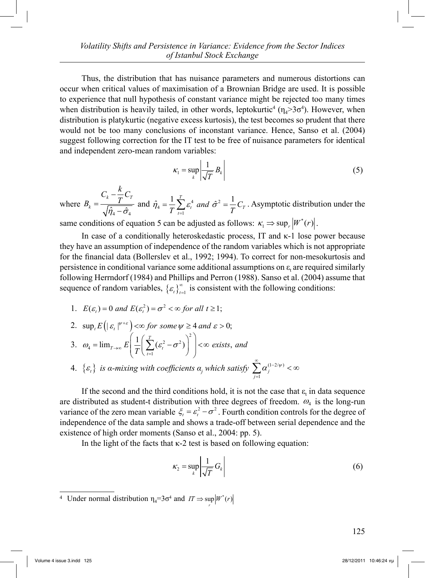Thus, the distribution that has nuisance parameters and numerous distortions can occur when critical values of maximisation of a Brownian Bridge are used. It is possible to experience that null hypothesis of constant variance might be rejected too many times when distribution is heavily tailed, in other words, leptokurtic<sup>4</sup> ( $\eta_4$ >3 $\sigma$ <sup>4</sup>). However, when distribution is platykurtic (negative excess kurtosis), the test becomes so prudent that there would not be too many conclusions of inconstant variance. Hence, Sanso et al. (2004) suggest following correction for the IT test to be free of nuisance parameters for identical and independent zero-mean random variables:

$$
\kappa_1 = \sup_k \left| \frac{1}{\sqrt{T}} B_k \right| \tag{5}
$$

where  $\hat\eta_{_4}$   $\hat\sigma_{_4}$  $k \tau^{C}$ *k*  $C_k - \frac{k}{\pi}C$  $B_k = \frac{I_k - I_k}{I_k}$  $\eta_{_4}$  –  $\sigma$  $\overline{a}$  $=\frac{1}{\sqrt{\hat{\eta}_4-\hat{\sigma}_4}}$  and  $\hat{\eta}_4 = \frac{1}{T}\sum_{t=1}^T \varepsilon_t^4$  and  $\hat{\sigma}^2$  $\hat{\eta}_4 = \frac{1}{T} \sum_{t=1}^T \varepsilon_t^4$  and  $\hat{\sigma}^2 = \frac{1}{T} C_T$  $\hat{\eta}_4 = \frac{1}{T} \sum_{t=1}^T \varepsilon_t^4$  and  $\hat{\sigma}^2 = \frac{1}{T} C_T$ . Asymptotic distribution under the

same conditions of equation 5 can be adjusted as follows:  $\kappa_1 \Rightarrow \sup_r |W^*(r)|$ .

In case of a conditionally heteroskedastic process, IT and  $\kappa$ -1 lose power because they have an assumption of independence of the random variables which is not appropriate for the financial data (Bollerslev et al., 1992; 1994). To correct for non-mesokurtosis and persistence in conditional variance some additional assumptions on  $\varepsilon$ <sub>t</sub> are required similarly following Herrndorf (1984) and Phillips and Perron (1988). Sanso et al. (2004) assume that sequence of random variables,  $\{\varepsilon_t\}_{t=1}^{\infty}$  is consistent with the following conditions:

1.  $E(\varepsilon_t) = 0$  and  $E(\varepsilon_t^2) = \sigma^2 < \infty$  for all  $t \ge 1$ ;

2. 
$$
\sup_{t} E(|\varepsilon_{t}|^{\psi+\varepsilon}) \ll \infty
$$
 for some  $\psi \ge 4$  and  $\varepsilon > 0$ ;  
\n3.  $\omega_{4} = \lim_{T \to \infty} E\left(\frac{1}{T}\left(\sum_{t=1}^{T} (\varepsilon_{t}^{2} - \sigma^{2})\right)^{2}\right) \ll \infty$  exists, and

4. 
$$
\{\varepsilon_t\}
$$
 is a-mixing with coefficients  $\alpha_j$  which satisfy  $\sum_{j=1}^{\infty} \alpha_j^{(1-2/\psi)} < \infty$ 

If the second and the third conditions hold, it is not the case that  $\varepsilon_t$  in data sequence are distributed as student-t distribution with three degrees of freedom.  $\omega_4$  is the long-run variance of the zero mean variable  $\xi_t = \varepsilon_t^2 - \sigma^2$ . Fourth condition controls for the degree of independence of the data sample and shows a trade-off between serial dependence and the existence of high order moments (Sanso et al., 2004: pp. 5).

In the light of the facts that  $\kappa$ -2 test is based on following equation:

$$
\kappa_2 = \sup_k \left| \frac{1}{\sqrt{T}} G_k \right| \tag{6}
$$

<sup>&</sup>lt;sup>4</sup> Under normal distribution  $\eta_4 = 3\sigma^4$  and  $IT \Rightarrow \sup_r |W^*(r)|$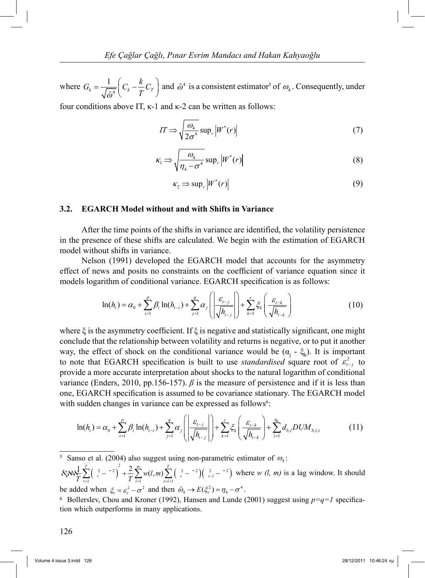where  $G_k = \frac{1}{\sqrt{a^4}}$  $\int_k - \sqrt{\hat{\omega}^4} \begin{bmatrix} c_k & T \end{bmatrix}$  $G_k = \frac{1}{\sqrt{1-\epsilon}} \left( C_k - \frac{k}{\pi} C \right)$  $=\frac{1}{\sqrt{\hat{\omega}^4}}\left(C_k-\frac{k}{T}C_T\right)$  and  $\hat{\omega}^4$  is a consistent estimator<sup>5</sup> of  $\omega_4$ . Consequently, under

four conditions above IT, κ-1 and κ-2 can be written as follows:

$$
IT \Rightarrow \sqrt{\frac{\omega_4}{2\sigma^4}} \sup_r |W^*(r)| \tag{7}
$$

$$
\kappa_1 \Rightarrow \sqrt{\frac{\omega_4}{\eta_4 - \sigma^4}} \sup_r |W^*(r)| \tag{8}
$$

$$
\kappa_2 \Rightarrow \sup_r \left| W^*(r) \right| \tag{9}
$$

#### **3.2. EGARCH Model without and with Shifts in Variance**

 After the time points of the shifts in variance are identified, the volatility persistence in the presence of these shifts are calculated. We begin with the estimation of EGARCH model without shifts in variance.

 Nelson (1991) developed the EGARCH model that accounts for the asymmetry effect of news and posits no constraints on the coefficient of variance equation since it models logarithm of conditional variance. EGARCH specification is as follows:

$$
\ln(h_{i}) = \alpha_{0} + \sum_{i=1}^{p} \beta_{i} \ln(h_{i-i}) + \sum_{j=1}^{q} \alpha_{j} \left( \left| \frac{\varepsilon_{i-j}}{\sqrt{h_{i-j}}} \right| \right) + \sum_{k=1}^{r} \xi_{k} \left( \frac{\varepsilon_{i-k}}{\sqrt{h_{i-k}}} \right)
$$
(10)

where  $\xi$  is the asymmetry coefficient. If  $\xi$  is negative and statistically significant, one might conclude that the relationship between volatility and returns is negative, or to put it another way, the effect of shock on the conditional variance would be  $(\alpha_j - \xi_k)$ . It is important to note that EGARCH specification is built to use *standardised* square root of  $\varepsilon_{t-j}^2$  to provide a more accurate interpretation about shocks to the natural logarithm of conditional variance (Enders, 2010, pp.156-157).  $\beta$  is the measure of persistence and if it is less than one, EGARCH specification is assumed to be covariance stationary. The EGARCH model with sudden changes in variance can be expressed as follows<sup>6</sup>:

$$
\ln(h_{i}) = \alpha_{0} + \sum_{i=1}^{p} \beta_{i} \ln(h_{i-i}) + \sum_{j=1}^{q} \alpha_{j} \left( \left| \frac{\varepsilon_{i-j}}{\sqrt{h_{i-j}}} \right| \right) + \sum_{k=1}^{r} \xi_{k} \left( \frac{\varepsilon_{i-k}}{\sqrt{h_{i-k}}} \right) + \sum_{l=1}^{n_{b}} d_{b,l} DUM_{b,l,t}
$$
(11)

 $\sum_{i=1}^{N} \sum_{i=1}^{T} \left( \frac{2}{t} - \frac{2}{t} \right)^2 + \frac{2}{T} \sum_{i=1}^{m} w(l,m) \sum_{i=l+1}^{T} \left( \frac{2}{t} - \frac{2}{t} \right) \left( \frac{2}{t-l} - \frac{2}{t} \right)$  $S_4'$ **}** $\frac{1}{2} \sum_{r=1}^{T} \left( \frac{2}{r} - \frac{2}{r} \right)^2 + \frac{2}{T} \sum_{r=1}^{T} w(l,m) \sum_{r=1}^{T} \left( \frac{2}{r} - \frac{2}{r} \right) \left( \frac{2}{l-r} - \frac{2}{r} \right)$  $\sum_{t=1}$   $\left( \begin{array}{cc} t & \end{array} \right)$   $\sum_{l=1}^{t}$   $\sum_{t=l+1}^{t}$   $\left( \begin{array}{cc} t & \end{array} \right)$   $\left( \begin{array}{cc} t-i \end{array} \right)$  $\mathcal{N}_4 \rightarrow \sum_{t=1}^k \left( \frac{2}{t} - \frac{2}{t} \right) + \frac{2}{T} \sum_{l=1}^k w(l,m) \sum_{t=l+1} \left( \frac{2}{t} - \frac{2}{t} \right) \left( \frac{2}{t-l} - \frac{2}{t} \right)$  where *w (l, m)* is a lag window. It should be added when  $\xi_t = \varepsilon_t^2 - \sigma^2$  and then  $\hat{\omega}_4 \rightarrow E(\xi_t^2) = \eta_4 - \sigma^4$ .

126

<sup>&</sup>lt;sup>5</sup> Sanso et al. (2004) also suggest using non-parametric estimator of  $\omega_4$ :

<sup>&</sup>lt;sup>6</sup> Bollerslev, Chou and Kroner (1992), Hansen and Lunde (2001) suggest using  $p=q=1$  specification which outperforms in many applications.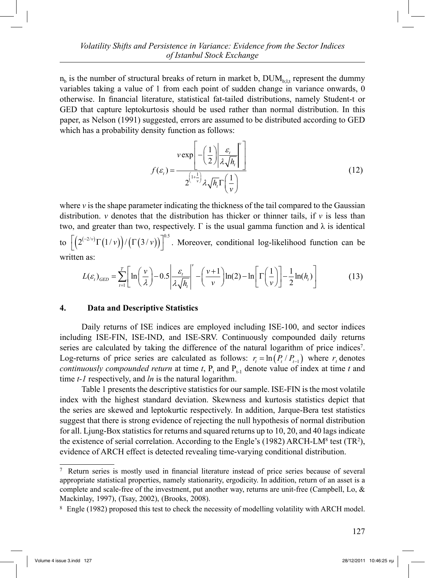$n_b$  is the number of structural breaks of return in market b,  $DUM_{b,lt}$  represent the dummy variables taking a value of 1 from each point of sudden change in variance onwards, 0 otherwise. In financial literature, statistical fat-tailed distributions, namely Student-t or GED that capture leptokurtosis should be used rather than normal distribution. In this paper, as Nelson (1991) suggested, errors are assumed to be distributed according to GED which has a probability density function as follows:

$$
f(\varepsilon_{i}) = \frac{v \exp\left[-\left(\frac{1}{2}\right) \left|\frac{\varepsilon_{i}}{\lambda \sqrt{h_{i}}}\right|^{v}\right]}{2^{\left(1 + \frac{1}{v}\right)} \lambda \sqrt{h_{i}} \Gamma\left(\frac{1}{v}\right)}
$$
(12)

where  $\nu$  is the shape parameter indicating the thickness of the tail compared to the Gaussian distribution. *v* denotes that the distribution has thicker or thinner tails, if  $\nu$  is less than two, and greater than two, respectively. Γ is the usual gamma function and  $\lambda$  is identical to  $\left[ \left( 2^{(-2/\nu)} \Gamma(1/\nu) \right) / \left( \Gamma(3/\nu) \right) \right]^{0.5}$ . Moreover, conditional log-likelihood function can be written as:

$$
L(\varepsilon_t)_{GED} = \sum_{t=1}^T \left[ \ln \left( \frac{v}{\lambda} \right) - 0.5 \left| \frac{\varepsilon_t}{\lambda \sqrt{h_t}} \right|^v - \left( \frac{v+1}{v} \right) \ln(2) - \ln \left[ \Gamma \left( \frac{1}{v} \right) \right] - \frac{1}{2} \ln(h_t) \right] \tag{13}
$$

### **4. Data and Descriptive Statistics**

 Daily returns of ISE indices are employed including ISE-100, and sector indices including ISE-FIN, ISE-IND, and ISE-SRV. Continuously compounded daily returns series are calculated by taking the difference of the natural logarithm of price indices<sup>7</sup>. Log-returns of price series are calculated as follows:  $r_t = \ln(P_t/P_{t-1})$  where  $r_t$  denotes *continuously compounded return* at time  $t$ ,  $P_t$  and  $P_{t-1}$  denote value of index at time  $t$  and time *t-1* respectively, and *ln* is the natural logarithm.

 Table 1 presents the descriptive statistics for our sample. ISE-FIN is the most volatile index with the highest standard deviation. Skewness and kurtosis statistics depict that the series are skewed and leptokurtic respectively. In addition, Jarque-Bera test statistics suggest that there is strong evidence of rejecting the null hypothesis of normal distribution for all. Ljung-Box statistics for returns and squared returns up to 10, 20, and 40 lags indicate the existence of serial correlation. According to the Engle's (1982) ARCH-LM<sup>8</sup> test (TR<sup>2</sup>), evidence of ARCH effect is detected revealing time-varying conditional distribution.

<sup>7</sup> Return series is mostly used in financial literature instead of price series because of several appropriate statistical properties, namely stationarity, ergodicity. In addition, return of an asset is a complete and scale-free of the investment, put another way, returns are unit-free (Campbell, Lo, & Mackinlay, 1997), (Tsay, 2002), (Brooks, 2008).

<sup>8</sup> Engle (1982) proposed this test to check the necessity of modelling volatility with ARCH model.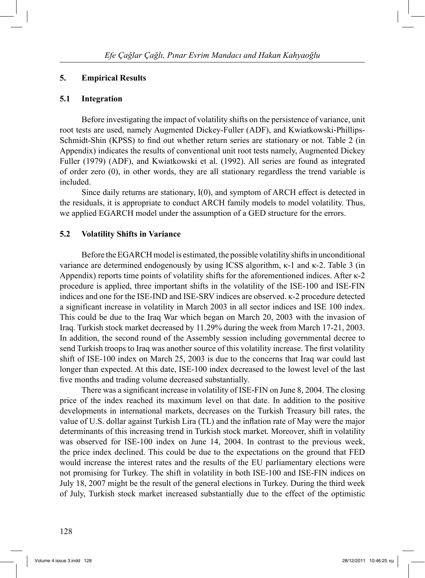#### **5. Empirical Results**

#### **5.1 Integration**

 Before investigating the impact of volatility shifts on the persistence of variance, unit root tests are used, namely Augmented Dickey-Fuller (ADF), and Kwiatkowski-Phillips-Schmidt-Shin (KPSS) to find out whether return series are stationary or not. Table 2 (in Appendix) indicates the results of conventional unit root tests namely, Augmented Dickey Fuller (1979) (ADF), and Kwiatkowski et al. (1992). All series are found as integrated of order zero (0), in other words, they are all stationary regardless the trend variable is included.

 Since daily returns are stationary, I(0), and symptom of ARCH effect is detected in the residuals, it is appropriate to conduct ARCH family models to model volatility. Thus, we applied EGARCH model under the assumption of a GED structure for the errors.

#### **5.2 Volatility Shifts in Variance**

 Before the EGARCH model is estimated, the possible volatility shifts in unconditional variance are determined endogenously by using ICSS algorithm, κ-1 and κ-2. Table 3 (in Appendix) reports time points of volatility shifts for the aforementioned indices. After κ-2 procedure is applied, three important shifts in the volatility of the ISE-100 and ISE-FIN indices and one for the ISE-IND and ISE-SRV indices are observed. κ-2 procedure detected a significant increase in volatility in March 2003 in all sector indices and ISE 100 index. This could be due to the Iraq War which began on March 20, 2003 with the invasion of Iraq. Turkish stock market decreased by 11.29% during the week from March 17-21, 2003. In addition, the second round of the Assembly session including governmental decree to send Turkish troops to Iraq was another source of this volatility increase. The first volatility shift of ISE-100 index on March 25, 2003 is due to the concerns that Iraq war could last longer than expected. At this date, ISE-100 index decreased to the lowest level of the last five months and trading volume decreased substantially.

 There was a significant increase in volatility of ISE-FIN on June 8, 2004. The closing price of the index reached its maximum level on that date. In addition to the positive developments in international markets, decreases on the Turkish Treasury bill rates, the value of U.S. dollar against Turkish Lira (TL) and the inflation rate of May were the major determinants of this increasing trend in Turkish stock market. Moreover, shift in volatility was observed for ISE-100 index on June 14, 2004. In contrast to the previous week, the price index declined. This could be due to the expectations on the ground that FED would increase the interest rates and the results of the EU parliamentary elections were not promising for Turkey. The shift in volatility in both ISE-100 and ISE-FIN indices on July 18, 2007 might be the result of the general elections in Turkey. During the third week of July, Turkish stock market increased substantially due to the effect of the optimistic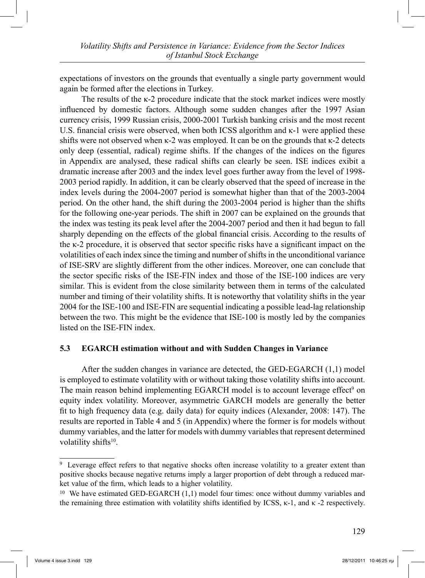expectations of investors on the grounds that eventually a single party government would again be formed after the elections in Turkey.

 The results of the κ-2 procedure indicate that the stock market indices were mostly influenced by domestic factors. Although some sudden changes after the 1997 Asian currency crisis, 1999 Russian crisis, 2000-2001 Turkish banking crisis and the most recent U.S. financial crisis were observed, when both ICSS algorithm and  $\kappa$ -1 were applied these shifts were not observed when κ-2 was employed. It can be on the grounds that κ-2 detects only deep (essential, radical) regime shifts. If the changes of the indices on the figures in Appendix are analysed, these radical shifts can clearly be seen. ISE indices exibit a dramatic increase after 2003 and the index level goes further away from the level of 1998- 2003 period rapidly. In addition, it can be clearly observed that the speed of increase in the index levels during the 2004-2007 period is somewhat higher than that of the 2003-2004 period. On the other hand, the shift during the 2003-2004 period is higher than the shifts for the following one-year periods. The shift in 2007 can be explained on the grounds that the index was testing its peak level after the 2004-2007 period and then it had begun to fall sharply depending on the effects of the global financial crisis. According to the results of the κ-2 procedure, it is observed that sector specific risks have a significant impact on the volatilities of each index since the timing and number of shifts in the unconditional variance of ISE-SRV are slightly different from the other indices. Moreover, one can conclude that the sector specific risks of the ISE-FIN index and those of the ISE-100 indices are very similar. This is evident from the close similarity between them in terms of the calculated number and timing of their volatility shifts. It is noteworthy that volatility shifts in the year 2004 for the ISE-100 and ISE-FIN are sequential indicating a possible lead-lag relationship between the two. This might be the evidence that ISE-100 is mostly led by the companies listed on the ISE-FIN index.

# **5.3 EGARCH estimation without and with Sudden Changes in Variance**

 After the sudden changes in variance are detected, the GED-EGARCH (1,1) model is employed to estimate volatility with or without taking those volatility shifts into account. The main reason behind implementing EGARCH model is to account leverage effect<sup>9</sup> on equity index volatility. Moreover, asymmetric GARCH models are generally the better fit to high frequency data (e.g. daily data) for equity indices (Alexander, 2008: 147). The results are reported in Table 4 and 5 (in Appendix) where the former is for models without dummy variables, and the latter for models with dummy variables that represent determined volatility shifts<sup>10</sup>.

<sup>9</sup> Leverage effect refers to that negative shocks often increase volatility to a greater extent than positive shocks because negative returns imply a larger proportion of debt through a reduced market value of the firm, which leads to a higher volatility.

<sup>&</sup>lt;sup>10</sup> We have estimated GED-EGARCH (1,1) model four times: once without dummy variables and the remaining three estimation with volatility shifts identified by ICSS, κ-1, and κ -2 respectively.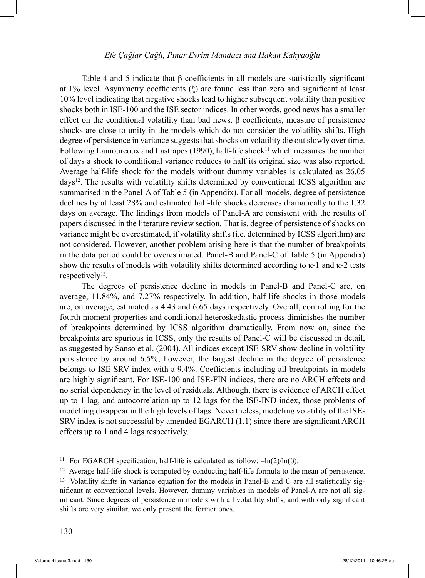Table 4 and 5 indicate that β coefficients in all models are statistically significant at 1% level. Asymmetry coefficients (ξ) are found less than zero and significant at least 10% level indicating that negative shocks lead to higher subsequent volatility than positive shocks both in ISE-100 and the ISE sector indices. In other words, good news has a smaller effect on the conditional volatility than bad news. β coefficients, measure of persistence shocks are close to unity in the models which do not consider the volatility shifts. High degree of persistence in variance suggests that shocks on volatility die out slowly over time. Following Lamoureoux and Lastrapes (1990), half-life shock<sup>11</sup> which measures the number of days a shock to conditional variance reduces to half its original size was also reported. Average half-life shock for the models without dummy variables is calculated as 26.05 days12. The results with volatility shifts determined by conventional ICSS algorithm are summarised in the Panel-A of Table 5 (in Appendix). For all models, degree of persistence declines by at least 28% and estimated half-life shocks decreases dramatically to the 1.32 days on average. The findings from models of Panel-A are consistent with the results of papers discussed in the literature review section. That is, degree of persistence of shocks on variance might be overestimated, if volatility shifts (i.e. determined by ICSS algorithm) are not considered. However, another problem arising here is that the number of breakpoints in the data period could be overestimated. Panel-B and Panel-C of Table 5 (in Appendix) show the results of models with volatility shifts determined according to κ-1 and κ-2 tests respectively<sup>13</sup>.

 The degrees of persistence decline in models in Panel-B and Panel-C are, on average, 11.84%, and 7.27% respectively. In addition, half-life shocks in those models are, on average, estimated as 4.43 and 6.65 days respectively. Overall, controlling for the fourth moment properties and conditional heteroskedastic process diminishes the number of breakpoints determined by ICSS algorithm dramatically. From now on, since the breakpoints are spurious in ICSS, only the results of Panel-C will be discussed in detail, as suggested by Sanso et al. (2004). All indices except ISE-SRV show decline in volatility persistence by around 6.5%; however, the largest decline in the degree of persistence belongs to ISE-SRV index with a 9.4%. Coefficients including all breakpoints in models are highly significant. For ISE-100 and ISE-FIN indices, there are no ARCH effects and no serial dependency in the level of residuals. Although, there is evidence of ARCH effect up to 1 lag, and autocorrelation up to 12 lags for the ISE-IND index, those problems of modelling disappear in the high levels of lags. Nevertheless, modeling volatility of the ISE-SRV index is not successful by amended EGARCH (1,1) since there are significant ARCH effects up to 1 and 4 lags respectively.

<sup>&</sup>lt;sup>11</sup> For EGARCH specification, half-life is calculated as follow:  $-\ln(2)/\ln(\beta)$ .

<sup>&</sup>lt;sup>12</sup> Average half-life shock is computed by conducting half-life formula to the mean of persistence.

<sup>&</sup>lt;sup>13</sup> Volatility shifts in variance equation for the models in Panel-B and C are all statistically significant at conventional levels. However, dummy variables in models of Panel-A are not all significant. Since degrees of persistence in models with all volatility shifts, and with only significant shifts are very similar, we only present the former ones.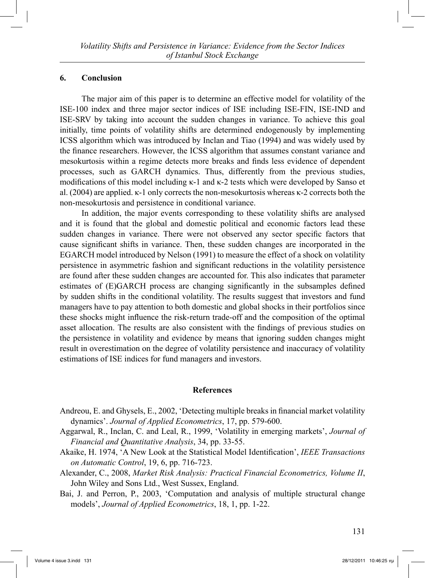### **6. Conclusion**

 The major aim of this paper is to determine an effective model for volatility of the ISE-100 index and three major sector indices of ISE including ISE-FIN, ISE-IND and ISE-SRV by taking into account the sudden changes in variance. To achieve this goal initially, time points of volatility shifts are determined endogenously by implementing ICSS algorithm which was introduced by Inclan and Tiao (1994) and was widely used by the finance researchers. However, the ICSS algorithm that assumes constant variance and mesokurtosis within a regime detects more breaks and finds less evidence of dependent processes, such as GARCH dynamics. Thus, differently from the previous studies, modifications of this model including κ-1 and κ-2 tests which were developed by Sanso et al. (2004) are applied. κ-1 only corrects the non-mesokurtosis whereas κ-2 corrects both the non-mesokurtosis and persistence in conditional variance.

 In addition, the major events corresponding to these volatility shifts are analysed and it is found that the global and domestic political and economic factors lead these sudden changes in variance. There were not observed any sector specific factors that cause significant shifts in variance. Then, these sudden changes are incorporated in the EGARCH model introduced by Nelson (1991) to measure the effect of a shock on volatility persistence in asymmetric fashion and significant reductions in the volatility persistence are found after these sudden changes are accounted for. This also indicates that parameter estimates of (E)GARCH process are changing significantly in the subsamples defined by sudden shifts in the conditional volatility. The results suggest that investors and fund managers have to pay attention to both domestic and global shocks in their portfolios since these shocks might influence the risk-return trade-off and the composition of the optimal asset allocation. The results are also consistent with the findings of previous studies on the persistence in volatility and evidence by means that ignoring sudden changes might result in overestimation on the degree of volatility persistence and inaccuracy of volatility estimations of ISE indices for fund managers and investors.

#### **References**

- Andreou, E. and Ghysels, E., 2002, 'Detecting multiple breaks in financial market volatility dynamics'. *Journal of Applied Econometrics*, 17, pp. 579-600.
- Aggarwal, R., Inclan, C. and Leal, R., 1999, 'Volatility in emerging markets', *Journal of Financial and Quantitative Analysis*, 34, pp. 33-55.
- Akaike, H. 1974, 'A New Look at the Statistical Model Identification', *IEEE Transactions on Automatic Control*, 19, 6, pp. 716-723.
- Alexander, C., 2008, *Market Risk Analysis: Practical Financial Econometrics, Volume II*, John Wiley and Sons Ltd., West Sussex, England.
- Bai, J. and Perron, P., 2003, 'Computation and analysis of multiple structural change models', *Journal of Applied Econometrics*, 18, 1, pp. 1-22.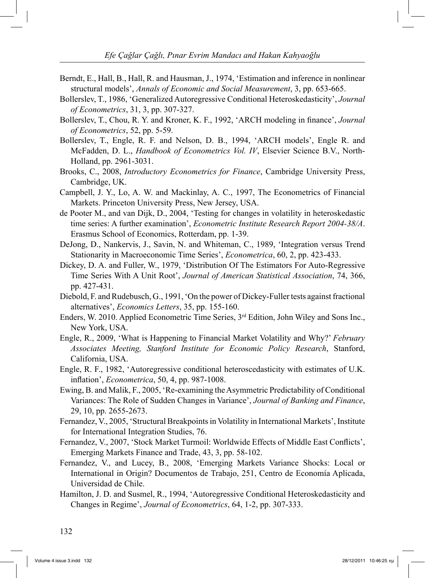- Berndt, E., Hall, B., Hall, R. and Hausman, J., 1974, 'Estimation and inference in nonlinear structural models', *Annals of Economic and Social Measurement*, 3, pp. 653-665.
- Bollerslev, T., 1986, 'Generalized Autoregressive Conditional Heteroskedasticity', *Journal of Econometrics*, 31, 3, pp. 307-327.
- Bollerslev, T., Chou, R. Y. and Kroner, K. F., 1992, 'ARCH modeling in finance', *Journal of Econometrics*, 52, pp. 5-59.
- Bollerslev, T., Engle, R. F. and Nelson, D. B., 1994, 'ARCH models', Engle R. and McFadden, D. L., *Handbook of Econometrics Vol. IV*, Elsevier Science B.V., North-Holland, pp. 2961-3031.
- Brooks, C., 2008, *Introductory Econometrics for Finance*, Cambridge University Press, Cambridge, UK.
- Campbell, J. Y., Lo, A. W. and Mackinlay, A. C., 1997, The Econometrics of Financial Markets. Princeton University Press, New Jersey, USA.
- de Pooter M., and van Dijk, D., 2004, 'Testing for changes in volatility in heteroskedastic time series: A further examination', *Econometric Institute Research Report 2004-38/A*. Erasmus School of Economics, Rotterdam, pp. 1-39.
- DeJong, D., Nankervis, J., Savin, N. and Whiteman, C., 1989, 'Integration versus Trend Stationarity in Macroeconomic Time Series', *Econometrica*, 60, 2, pp. 423-433.
- Dickey, D. A. and Fuller, W., 1979, 'Distribution Of The Estimators For Auto-Regressive Time Series With A Unit Root', *Journal of American Statistical Association*, 74, 366, pp. 427-431.
- Diebold, F. and Rudebusch, G., 1991, 'On the power of Dickey-Fuller tests against fractional alternatives', *Economics Letters*, 35, pp. 155-160.
- Enders, W. 2010. Applied Econometric Time Series, 3rd Edition, John Wiley and Sons Inc., New York, USA.
- Engle, R., 2009, 'What is Happening to Financial Market Volatility and Why?' *February Associates Meeting, Stanford Institute for Economic Policy Research*, Stanford, California, USA.
- Engle, R. F., 1982, 'Autoregressive conditional heteroscedasticity with estimates of U.K. inflation', *Econometrica*, 50, 4, pp. 987-1008.
- Ewing, B. and Malik, F., 2005, 'Re-examining the Asymmetric Predictability of Conditional Variances: The Role of Sudden Changes in Variance', *Journal of Banking and Finance*, 29, 10, pp. 2655-2673.
- Fernandez, V., 2005, 'Structural Breakpoints in Volatility in International Markets', Institute for International Integration Studies, 76.
- Fernandez, V., 2007, 'Stock Market Turmoil: Worldwide Effects of Middle East Conflicts', Emerging Markets Finance and Trade, 43, 3, pp. 58-102.
- Fernandez, V., and Lucey, B., 2008, 'Emerging Markets Variance Shocks: Local or International in Origin? Documentos de Trabajo, 251, Centro de Economía Aplicada, Universidad de Chile.
- Hamilton, J. D. and Susmel, R., 1994, 'Autoregressive Conditional Heteroskedasticity and Changes in Regime', *Journal of Econometrics*, 64, 1-2, pp. 307-333.

132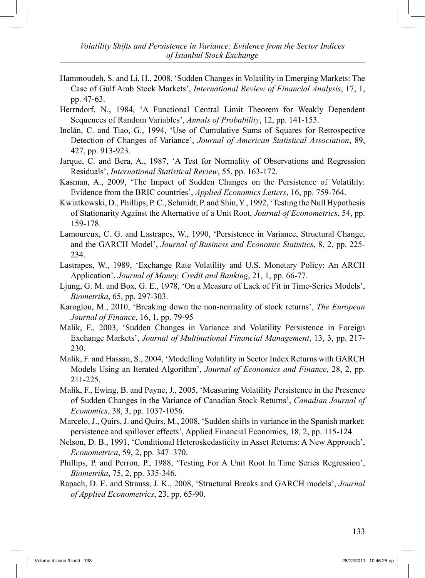- Hammoudeh, S. and Li, H., 2008, 'Sudden Changes in Volatility in Emerging Markets: The Case of Gulf Arab Stock Markets', *International Review of Financial Analysis*, 17, 1, pp. 47-63.
- Herrndorf, N., 1984, 'A Functional Central Limit Theorem for Weakly Dependent Sequences of Random Variables', *Annals of Probability*, 12, pp. 141-153.
- Inclán, C. and Tiao, G., 1994, 'Use of Cumulative Sums of Squares for Retrospective Detection of Changes of Variance', *Journal of American Statistical Association*, 89, 427, pp. 913-923.
- Jarque, C. and Bera, A., 1987, 'A Test for Normality of Observations and Regression Residuals', *International Statistical Review*, 55, pp. 163-172.
- Kasman, A., 2009, 'The Impact of Sudden Changes on the Persistence of Volatility: Evidence from the BRIC countries', *Applied Economics Letters*, 16, pp. 759-764.
- Kwiatkowski, D., Phillips, P. C., Schmidt, P. and Shin, Y., 1992, 'Testing the Null Hypothesis of Stationarity Against the Alternative of a Unit Root, *Journal of Econometrics*, 54, pp. 159-178.
- Lamoureux, C. G. and Lastrapes, W., 1990, 'Persistence in Variance, Structural Change, and the GARCH Model', *Journal of Business and Economic Statistics*, 8, 2, pp. 225- 234.
- Lastrapes, W., 1989, 'Exchange Rate Volatility and U.S. Monetary Policy: An ARCH Application', *Journal of Money, Credit and Banking*, 21, 1, pp. 66-77.
- Ljung, G. M. and Box, G. E., 1978, 'On a Measure of Lack of Fit in Time-Series Models', *Biometrika*, 65, pp. 297-303.
- Karoglou, M., 2010, 'Breaking down the non-normality of stock returns', *The European Journal of Finance*, 16, 1, pp. 79-95
- Malik, F., 2003, 'Sudden Changes in Variance and Volatility Persistence in Foreign Exchange Markets', *Journal of Multinational Financial Management*, 13, 3, pp. 217- 230.
- Malik, F. and Hassan, S., 2004, 'Modelling Volatility in Sector Index Returns with GARCH Models Using an Iterated Algorithm', *Journal of Economics and Finance*, 28, 2, pp. 211-225.
- Malik, F., Ewing, B. and Payne, J., 2005, 'Measuring Volatility Persistence in the Presence of Sudden Changes in the Variance of Canadian Stock Returns', *Canadian Journal of Economics*, 38, 3, pp. 1037-1056.
- Marcelo, J., Quirs, J. and Quirs, M., 2008, 'Sudden shifts in variance in the Spanish market: persistence and spillover effects', Applied Financial Economics, 18, 2, pp. 115-124
- Nelson, D. B., 1991, 'Conditional Heteroskedasticity in Asset Returns: A New Approach', *Econometrica*, 59, 2, pp. 347–370.
- Phillips, P. and Perron, P., 1988, 'Testing For A Unit Root In Time Series Regression', *Biometrika*, 75, 2, pp. 335-346.
- Rapach, D. E. and Strauss, J. K., 2008, 'Structural Breaks and GARCH models', *Journal of Applied Econometrics*, 23, pp. 65-90.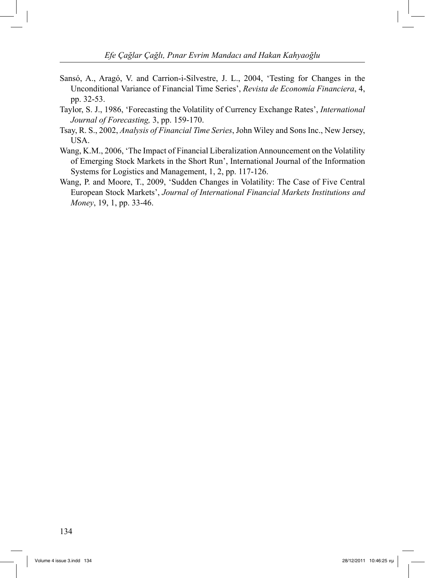- Sansó, A., Aragó, V. and Carrion-i-Silvestre, J. L., 2004, 'Testing for Changes in the Unconditional Variance of Financial Time Series', *Revista de Economía Financiera*, 4, pp. 32-53.
- Taylor, S. J., 1986, 'Forecasting the Volatility of Currency Exchange Rates', *International Journal of Forecasting,* 3, pp. 159-170.
- Tsay, R. S., 2002, *Analysis of Financial Time Series*, John Wiley and Sons Inc., New Jersey, USA.
- Wang, K.M., 2006, 'The Impact of Financial Liberalization Announcement on the Volatility of Emerging Stock Markets in the Short Run', International Journal of the Information Systems for Logistics and Management, 1, 2, pp. 117-126.
- Wang, P. and Moore, T., 2009, 'Sudden Changes in Volatility: The Case of Five Central European Stock Markets', *Journal of International Financial Markets Institutions and Money*, 19, 1, pp. 33-46.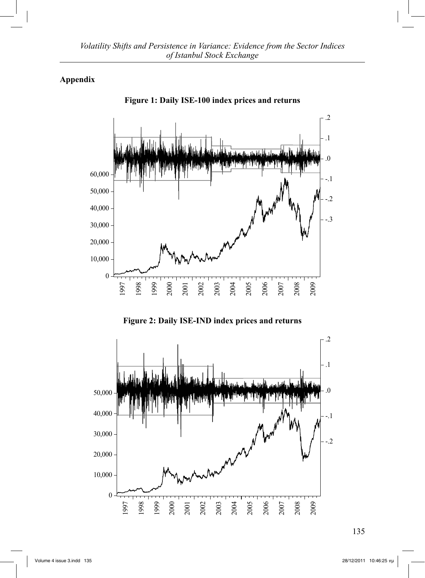# **Appendix**





**Figure 2: Daily ISE-IND index prices and returns**

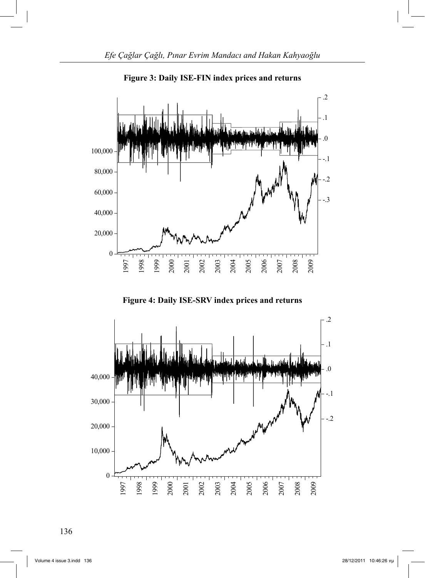

**Figure 3: Daily ISE-FIN index prices and returns**

**Figure 4: Daily ISE-SRV index prices and returns**



136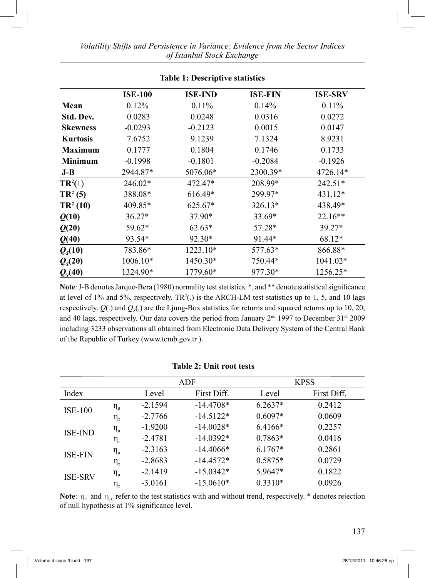| <b>Table 1: Descriptive statistics</b> |                |                |                |                |  |  |  |
|----------------------------------------|----------------|----------------|----------------|----------------|--|--|--|
|                                        | <b>ISE-100</b> | <b>ISE-IND</b> | <b>ISE-FIN</b> | <b>ISE-SRV</b> |  |  |  |
| Mean                                   | 0.12%          | $0.11\%$       | 0.14%          | $0.11\%$       |  |  |  |
| Std. Dev.                              | 0.0283         | 0.0248         | 0.0316         | 0.0272         |  |  |  |
| <b>Skewness</b>                        | $-0.0293$      | $-0.2123$      | 0.0015         | 0.0147         |  |  |  |
| <b>Kurtosis</b>                        | 7.6752         | 9.1239         | 7.1324         | 8.9231         |  |  |  |
| <b>Maximum</b>                         | 0.1777         | 0.1804         | 0.1746         | 0.1733         |  |  |  |
| <b>Minimum</b>                         | $-0.1998$      | $-0.1801$      | $-0.2084$      | $-0.1926$      |  |  |  |
| $J-B$                                  | 2944.87*       | 5076.06*       | 2300.39*       | 4726.14*       |  |  |  |
| $TR^2(1)$                              | 246.02*        | 472.47*        | 208.99*        | $242.51*$      |  |  |  |
| $TR^2(5)$                              | 388.08*        | 616.49*        | 299.97*        | 431.12*        |  |  |  |
| $TR^2(10)$                             | 409.85*        | 625.67*        | 326.13*        | 438.49*        |  |  |  |
| Q(10)                                  | $36.27*$       | 37.90*         | 33.69*         | $22.16**$      |  |  |  |
| Q(20)                                  | 59.62*         | $62.63*$       | 57.28*         | 39.27*         |  |  |  |
| Q(40)                                  | 93.54*         | $92.30*$       | 91.44*         | 68.12*         |  |  |  |
| $Q_{\rm s}(10)$                        | 783.86*        | 1223.10*       | 577.63*        | 866.88*        |  |  |  |
| $Q_{\rm s}(20)$                        | 1006.10*       | 1450.30*       | 750.44*        | 1041.02*       |  |  |  |
| $Q_{s}(40)$                            | 1324.90*       | 1779.60*       | 977.30*        | 1256.25*       |  |  |  |

**Note**: J-B denotes Jarque-Bera (1980) normality test statistics. \*, and \*\* denote statistical significance at level of 1% and 5%, respectively.  $TR^2(.)$  is the ARCH-LM test statistics up to 1, 5, and 10 lags respectively.  $Q(.)$  and  $Q<sub>s</sub>(.)$  are the Ljung-Box statistics for returns and squared returns up to 10, 20, and 40 lags, respectively. Our data covers the period from January 2<sup>nd</sup> 1997 to December 31<sup>st</sup> 2009 including 3233 observations all obtained from Electronic Data Delivery System of the Central Bank of the Republic of Turkey (www.tcmb.gov.tr ).

### **Table 2: Unit root tests**

|                |              | ADF       |             | <b>KPSS</b> |             |  |
|----------------|--------------|-----------|-------------|-------------|-------------|--|
| Index          |              | Level     | First Diff. | Level       | First Diff. |  |
| <b>ISE-100</b> | $\eta_{\mu}$ | $-2.1594$ | $-14.4708*$ | $6.2637*$   | 0.2412      |  |
|                | $\eta_\tau$  | $-2.7766$ | $-14.5122*$ | $0.6097*$   | 0.0609      |  |
|                | $\eta_{\mu}$ | $-1.9200$ | $-14.0028*$ | 6.4166*     | 0.2257      |  |
| <b>ISE-IND</b> | $\eta_\tau$  | $-2.4781$ | $-14.0392*$ | $0.7863*$   | 0.0416      |  |
| <b>ISE-FIN</b> | $\eta_{\mu}$ | $-2.3163$ | $-14.4066*$ | $6.1767*$   | 0.2861      |  |
|                | $\eta_\tau$  | $-2.8683$ | $-14.4572*$ | $0.5875*$   | 0.0729      |  |
| <b>ISE-SRV</b> | $\eta_{\mu}$ | $-2.1419$ | $-15.0342*$ | 5.9647*     | 0.1822      |  |
|                | $\eta_\tau$  | $-3.0161$ | $-15.0610*$ | $0.3310*$   | 0.0926      |  |

**Note:**  $\eta_{\tau}$  and  $\eta_{\mu}$  refer to the test statistics with and without trend, respectively. \* denotes rejection of null hypothesis at 1% significance level.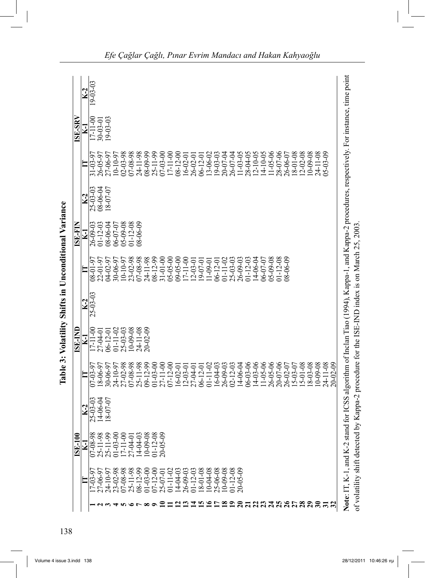| $07 - 03 - 9$<br>E | $-03 - 03$<br>$K-2$<br>24.4                                                                                                                                                                                                                                                                                                                                                                                                                                                                                                                                                                                                   |                                                    | $07 - 08 - 98$<br>ISE-100<br>⋥                                                                                                                                                                                                                                                                                                                                                                                                |
|--------------------|-------------------------------------------------------------------------------------------------------------------------------------------------------------------------------------------------------------------------------------------------------------------------------------------------------------------------------------------------------------------------------------------------------------------------------------------------------------------------------------------------------------------------------------------------------------------------------------------------------------------------------|----------------------------------------------------|-------------------------------------------------------------------------------------------------------------------------------------------------------------------------------------------------------------------------------------------------------------------------------------------------------------------------------------------------------------------------------------------------------------------------------|
|                    | Note: IT, K-1, and K-2 stand for ICSS algorithm of Inclan Tiao (1994), Kappa-1, and Kappa-2 procedures, respectively. For instance, time point<br>27-02-98<br>$07 - 08 - 98$<br>25-11-98<br>$09 - 12 - 99$<br>$06 - 03 - 06$<br>$4 - 03 - 06$<br>$1 - 0.5 - 06$<br>26-05-06<br>20-07-06<br>$0 - 09 - 08$<br>24-11-08<br>$20 - 02 - 09$<br>$01 - 03 - 00$<br>27-11-00<br>$07 - 12 - 00$<br>$14 - 06 - 04$<br>26-02-07<br>$5 - 01 - 08$<br>$8 - 03 - 08$<br>$01 - 11 - 02$<br>$02 - 12 - 03$<br>15-03-07<br>30-06-97<br>24-10-97<br>$16 - 04 - 03$<br>26-09-03<br>8-06-97<br>16-02-01<br>27-04-01<br>06-12-01<br>$12 - 03 - 01$ | $-06 - 04$<br>$-0.0 - 0.0 - 0.0$<br>$\frac{8}{16}$ | 25-11-99<br>$01 - 03 - 00$<br>$10 - 09 - 08$<br>$01 - 12 - 08$<br>$20 - 05 - 09$<br>25-11-98<br>17-11-00<br>$14 - 04 - 03$<br>27-04-0<br>$23 - 02 - 98$<br>07-08-98<br>$25 - 11 - 98$<br>25-06-08<br>$01 - 12 - 08$<br>$20 - 05 - 09$<br>$08 - 12 - 99$<br>$07 - 12 - 00$<br>$14 - 04 - 03$<br>26-09-03<br>$01 - 12 - 03$<br>$8 - 10 - 8$<br>$10 - 04 - 08$<br>$10 - 09 - 08$<br>24-10-97<br>$01 - 03 - 00$<br>$01 - 11 - 02$ |

*E fe Çağlar Çağlı, Pınar Evrim Mandacı and Hakan Kahyaoğlu*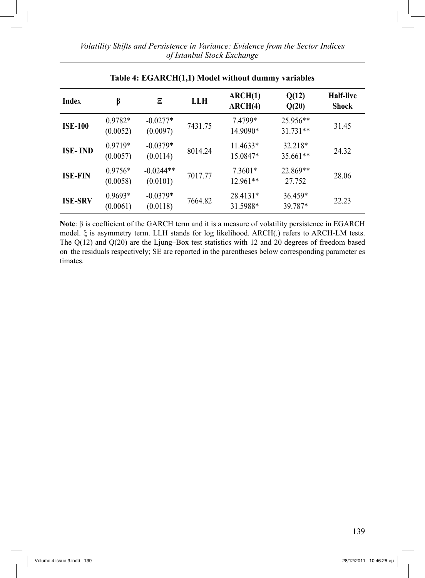| <b>Index</b>   | β                     | Ξ                       | <b>LLH</b> | ARCH(1)<br>ARCH(4)    | Q(12)<br>Q(20)         | <b>Half-live</b><br>Shock |
|----------------|-----------------------|-------------------------|------------|-----------------------|------------------------|---------------------------|
| <b>ISE-100</b> | 0.9782*<br>(0.0052)   | $-0.0277*$<br>(0.0097)  | 7431.75    | 7.4799*<br>14.9090*   | 25.956**<br>$31.731**$ | 31.45                     |
| <b>ISE-IND</b> | $0.9719*$<br>(0.0057) | $-0.0379*$<br>(0.0114)  | 8014.24    | 11.4633*<br>15.0847*  | 32.218*<br>35.661**    | 24.32                     |
| <b>ISE-FIN</b> | $0.9756*$<br>(0.0058) | $-0.0244**$<br>(0.0101) | 7017.77    | $7.3601*$<br>12.961** | 22.869**<br>27.752     | 28.06                     |
| <b>ISE-SRV</b> | $0.9693*$<br>(0.0061) | $-0.0379*$<br>(0.0118)  | 7664.82    | 28.4131*<br>31.5988*  | 36.459*<br>39.787*     | 22.23                     |

### **Table 4: EGARCH(1,1) Model without dummy variables**

**Note**: β is coefficient of the GARCH term and it is a measure of volatility persistence in EGARCH model. ξ is asymmetry term. LLH stands for log likelihood. ARCH(.) refers to ARCH-LM tests. The Q(12) and Q(20) are the Ljung–Box test statistics with 12 and 20 degrees of freedom based on the residuals respectively; SE are reported in the parentheses below corresponding parameter es timates.